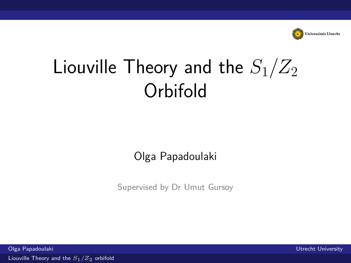

# <span id="page-0-0"></span>Liouville Theory and the  $S_1/Z_2$ Orbifold

#### Olga Papadoulaki

Supervised by Dr Umut Gursoy

Olga Papadoulaki Utrecht University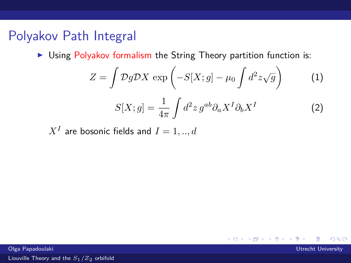## Polyakov Path Integral

 $\triangleright$  Using Polyakov formalism the String Theory partition function is:

$$
Z = \int \mathcal{D}g \mathcal{D}X \, \exp\left(-S[X; g] - \mu_0 \int d^2 z \sqrt{g}\right) \tag{1}
$$

$$
S[X; g] = \frac{1}{4\pi} \int d^2 z \, g^{ab} \partial_a X^I \partial_b X^I \tag{2}
$$

 $X^I$  are bosonic fields and  $I=1,..,d$ 

**K ロ ▶ K 個 ▶ K ミ ▶ K**  $\Omega$ 

Olga Papadoulaki Utrecht University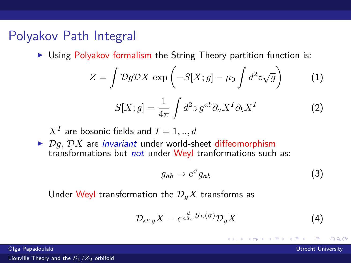#### Polyakov Path Integral

 $\triangleright$  Using Polyakov formalism the String Theory partition function is:

$$
Z = \int \mathcal{D}g \mathcal{D}X \, \exp\left(-S[X; g] - \mu_0 \int d^2 z \sqrt{g}\right) \tag{1}
$$

$$
S[X; g] = \frac{1}{4\pi} \int d^2 z \, g^{ab} \partial_a X^I \partial_b X^I \tag{2}
$$

 $X^I$  are bosonic fields and  $I=1,..,d$ 

 $\triangleright$   $\mathcal{D}a$ ,  $\mathcal{D}X$  are *invariant* under world-sheet diffeomorphism transformations but *not* under Weyl tranformations such as:

$$
g_{ab} \to e^{\sigma} g_{ab} \tag{3}
$$

メロト メタトメ ミトメ

 $\Omega$ 

Under Weyl transformation the  $\mathcal{D}_qX$  transforms as

$$
\mathcal{D}_{e^{\sigma}g}X = e^{\frac{d}{48\pi}S_L(\sigma)}\mathcal{D}_gX\tag{4}
$$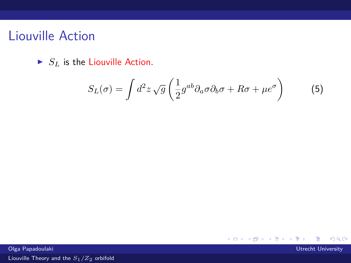#### Liouville Action

 $\blacktriangleright$  *S<sub>L</sub>* is the Liouville Action.

$$
S_L(\sigma) = \int d^2 z \sqrt{g} \left( \frac{1}{2} g^{ab} \partial_a \sigma \partial_b \sigma + R \sigma + \mu e^{\sigma} \right) \tag{5}
$$

**K ロ ▶ K 御 ▶ K 君 ▶ K 君** 

 $299$ 

∍

Olga Papadoulaki Utrecht University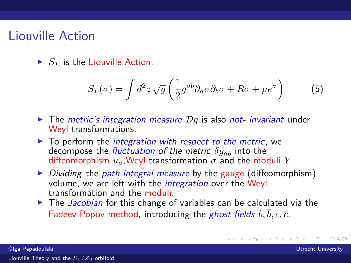#### Liouville Action

 $\blacktriangleright$  *S*<sub>*L*</sub> is the Liouville Action.

$$
S_L(\sigma) = \int d^2 z \sqrt{g} \left( \frac{1}{2} g^{ab} \partial_a \sigma \partial_b \sigma + R \sigma + \mu e^{\sigma} \right) \tag{5}
$$

メロメ メタメメ ミメメ 毛

- $\triangleright$  The *metric's integration measure*  $\mathcal{D}q$  is also *not- invariant* under Weyl transformations.
- $\triangleright$  To perform the *integration with respect to the metric*, we decompose the fluctuation of the metric *δgab* into the diffeomorphism  $u_a$ , Weyl transformation  $\sigma$  and the moduli Y.
- $\triangleright$  Dividing the path integral measure by the gauge (diffeomorphism) volume, we are left with the *integration* over the Weyl transformation and the moduli.
- $\triangleright$  The *Jacobian* for this change of variables can be calculated via the Fadeev-Popov method, introducing the *ghost fields*  $b, \overline{b}, c, \overline{c}$ .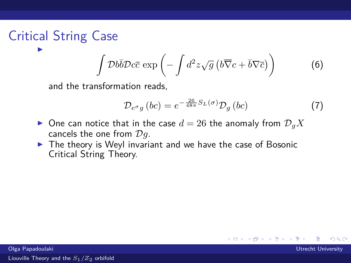#### Critical String Case I

$$
\int \mathcal{D}b\overline{b}\mathcal{D}c\overline{c} \exp\left(-\int d^2z\sqrt{g}\left(b\overline{\nabla}c+\overline{b}\nabla\overline{c}\right)\right) \tag{6}
$$

and the transformation reads,

$$
\mathcal{D}_{e^{\sigma}g} \left( bc \right) = e^{-\frac{26}{48\pi} S_L(\sigma)} \mathcal{D}_g \left( bc \right) \tag{7}
$$

**K ロ ⊁ K 倒 ≯ K** 

э

- $\triangleright$  One can notice that in the case  $d = 26$  the anomaly from  $\mathcal{D}_qX$ cancels the one from D*g*.
- $\triangleright$  The theory is Weyl invariant and we have the case of Bosonic Critical String Theory.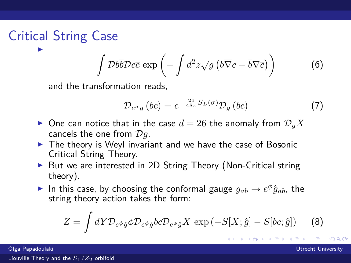#### Critical String Case I

$$
\int \mathcal{D}b\overline{b}\mathcal{D}c\overline{c} \exp\left(-\int d^2z\sqrt{g}\left(b\overline{\nabla}c+\overline{b}\nabla\overline{c}\right)\right) \tag{6}
$$

and the transformation reads,

$$
\mathcal{D}_{e^{\sigma}g} \left( bc \right) = e^{-\frac{26}{48\pi} S_L(\sigma)} \mathcal{D}_g \left( bc \right) \tag{7}
$$

メロト メタト メミトメ

 $\Omega$ 

- $\triangleright$  One can notice that in the case  $d = 26$  the anomaly from  $\mathcal{D}_qX$ cancels the one from D*g*.
- $\triangleright$  The theory is Weyl invariant and we have the case of Bosonic Critical String Theory.
- ▶ But we are interested in 2D String Theory (Non-Critical string theory).
- In this case, by choosing the conformal gauge  $g_{ab} \rightarrow e^{\phi} \hat{g}_{ab}$ , the string theory action takes the form:

$$
Z = \int dY \mathcal{D}_{e^{\phi}\hat{g}} \phi \mathcal{D}_{e^{\phi}\hat{g}} bc \mathcal{D}_{e^{\phi}\hat{g}} X \exp(-S[X; \hat{g}] - S[bc; \hat{g}]) \tag{8}
$$

Olga Papadoulaki Utrecht University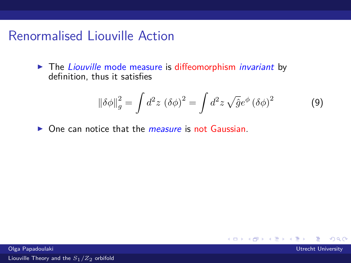## Renormalised Liouville Action

 $\blacktriangleright$  The Liouville mode measure is diffeomorphism invariant by definition, thus it satisfies

$$
\left\|\delta\phi\right\|_{g}^{2} = \int d^{2}z \, \left(\delta\phi\right)^{2} = \int d^{2}z \, \sqrt{\hat{g}}e^{\phi} \left(\delta\phi\right)^{2} \tag{9}
$$

 $\triangleright$  One can notice that the *measure* is not Gaussian.

**K ロ ▶ K 御 ▶ K 君 ▶ K**  $\Omega$ 

Olga Papadoulaki Utrecht University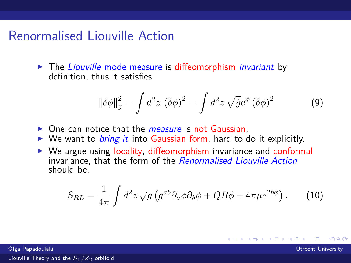#### Renormalised Liouville Action

 $\blacktriangleright$  The Liouville mode measure is diffeomorphism invariant by definition, thus it satisfies

$$
\left\|\delta\phi\right\|_{g}^{2} = \int d^{2}z \, \left(\delta\phi\right)^{2} = \int d^{2}z \, \sqrt{\hat{g}}e^{\phi} \left(\delta\phi\right)^{2} \tag{9}
$$

- $\triangleright$  One can notice that the *measure* is not Gaussian.
- $\triangleright$  We want to *bring it* into Gaussian form, hard to do it explicitly.
- $\triangleright$  We argue using locality, diffeomorphism invariance and conformal invariance, that the form of the Renormalised Liouville Action should be,

$$
S_{RL} = \frac{1}{4\pi} \int d^2 z \sqrt{g} \left( g^{ab} \partial_a \phi \partial_b \phi + QR \phi + 4\pi \mu e^{2b\phi} \right). \tag{10}
$$

**K ロ ▶ K 何 ▶** 

э

 $\Omega$ 

Olga Papadoulaki Utrecht University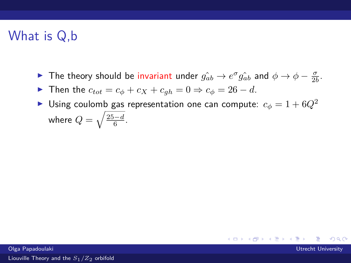# What is Q,b

- ► The theory should be invariant under  $g_{ab}$  →  $e^{\sigma} g_{ab}$  and  $\phi \to \phi \frac{\sigma}{2b}$ .
- **►** Then the  $c_{tot} = c_{\phi} + c_X + c_{ah} = 0 \Rightarrow c_{\phi} = 26 d$ .
- Using coulomb gas representation one can compute:  $c_{\phi} = 1 + 6Q^2$ where  $Q=\sqrt{\frac{25-d}{6}}$ .

メロトメ 倒 トメ ミトメ 毛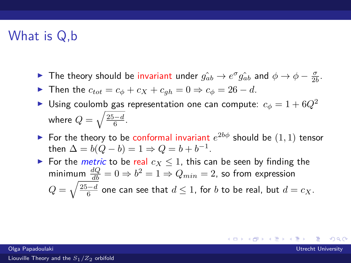## What is Q,b

- ► The theory should be invariant under  $g_{ab}$  →  $e^{\sigma} g_{ab}$  and  $\phi \to \phi \frac{\sigma}{2b}$ .
- $\triangleright$  Then the  $c_{tot} = c_{\phi} + c_X + c_{ab} = 0 \Rightarrow c_{\phi} = 26 d$ .
- Using coulomb gas representation one can compute:  $c_{\phi} = 1 + 6Q^2$ where  $Q=\sqrt{\frac{25-d}{6}}$ .
- For the theory to be conformal invariant  $e^{2b\phi}$  should be  $(1,1)$  tensor then  $\Delta = b(Q - b) = 1 \Rightarrow Q = b + b^{-1}$ .
- For the *metric* to be real  $c_X < 1$ , this can be seen by finding the  $\text{minimum } \frac{dQ}{db} = 0 \Rightarrow b^2 = 1 \Rightarrow Q_{min} = 2$ , so from expression  $Q = \sqrt{\frac{25-d}{6}}$  one can see that  $d \leq 1$ , for  $b$  to be real, but  $d = c_X.$

メロメ メタメメ ミメメ 毛

 $\Omega$ 

Olga Papadoulaki Utrecht University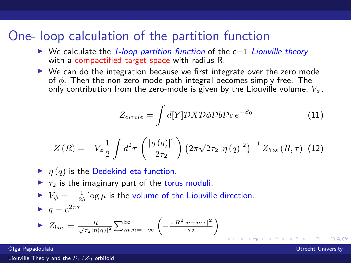#### One- loop calculation of the partition function

- $\triangleright$  We calculate the 1-loop partition function of the c=1 Liouville theory with a compactified target space with radius R.
- $\triangleright$  We can do the integration because we first integrate over the zero mode of *φ*. Then the non-zero mode path integral becomes simply free. The only contribution from the zero-mode is given by the Liouville volume, *Vφ*.

$$
Z_{circle} = \int d[Y] \mathcal{D}X \mathcal{D}\phi \mathcal{D}b \mathcal{D}c \, e^{-S_0} \tag{11}
$$

$$
Z(R) = -V_{\phi} \frac{1}{2} \int d^2 \tau \left( \frac{|\eta(q)|^4}{2\tau_2} \right) \left( 2\pi \sqrt{2\tau_2} \, |\eta(q)|^2 \right)^{-1} Z_{bos} (R, \tau) \tag{12}
$$

- $\blacktriangleright$   $\eta(q)$  is the Dedekind eta function.
- $\blacktriangleright$   $\tau_2$  is the imaginary part of the torus moduli.
- $V$  *V*<sub>φ</sub> =  $-\frac{1}{2b}$  log *μ* is the volume of the Liouville direction.  $q = e^{2\pi\tau}$ 2  $\setminus$

$$
\blacktriangleright Z_{bos} = \frac{R}{\sqrt{\tau_2} |\eta(q)|^2} \sum_{m,n=-\infty}^{\infty} \left( -\frac{\pi R^2 |n-m\tau|^2}{\tau_2} \right)
$$

Olga Papadoulaki Utrecht University

 $\Omega$ 

メロメ メ御 メメ ミメ メミメ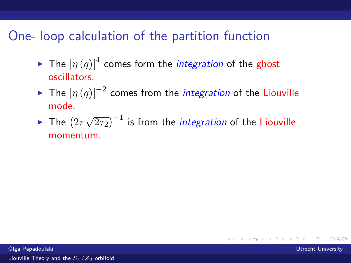# One- loop calculation of the partition function

- $\blacktriangleright$  The  $|\eta\left(q\right)|^{4}$  comes form the *integration* of the ghost oscillators.
- ► The  $\left|\eta\left(q\right)\right|^{-2}$  comes from the *integration* of the Liouville mode.
- $\blacktriangleright$  The  $(2\pi)$ √  $\overline{2 \tau_2})^{-1}$  is from the *integration* of the Liouville momentum.

 $\Omega$ 

メロメ メタメメ ミメメ 毛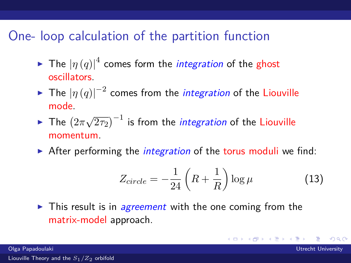# One- loop calculation of the partition function

- $\blacktriangleright$  The  $|\eta\left(q\right)|^{4}$  comes form the *integration* of the ghost oscillators.
- ► The  $\left|\eta\left(q\right)\right|^{-2}$  comes from the *integration* of the Liouville mode.
- $\blacktriangleright$  The  $(2\pi)$ √  $\overline{2 \tau_2})^{-1}$  is from the *integration* of the Liouville momentum.
- $\triangleright$  After performing the *integration* of the torus moduli we find:

$$
Z_{circle} = -\frac{1}{24} \left( R + \frac{1}{R} \right) \log \mu \tag{13}
$$

 $\left\{ \begin{array}{ccc} 1 & 0 & 0 \\ 0 & 1 & 0 \end{array} \right.$  ,  $\left\{ \begin{array}{ccc} \frac{1}{2} & 0 & 0 \\ 0 & 0 & 0 \end{array} \right.$ 

 $\Omega$ 

 $\triangleright$  This result is in *agreement* with the one coming from the matrix-model approach.

Olga Papadoulaki Utrecht University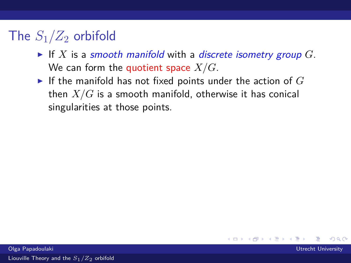# The  $S_1/Z_2$  orbifold

- If *X* is a smooth manifold with a discrete isometry group  $G$ . We can form the quotient space *X/G*.
- If the manifold has not fixed points under the action of  $G$ then *X/G* is a smooth manifold, otherwise it has conical singularities at those points.

**K ロ ▶ K 何 ▶** 

œ x k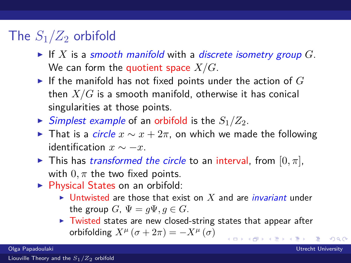## The  $S_1/Z_2$  orbifold

- If X is a smooth manifold with a discrete isometry group  $G$ . We can form the quotient space *X/G*.
- If the manifold has not fixed points under the action of  $G$ then *X/G* is a smooth manifold, otherwise it has conical singularities at those points.
- $\triangleright$  Simplest example of an orbifold is the  $S_1/Z_2$ .
- $\triangleright$  That is a *circle*  $x \sim x + 2\pi$ , on which we made the following identification  $x \sim −x$ .
- $\blacktriangleright$  This has *transformed the circle* to an interval, from  $[0, \pi]$ , with  $0, \pi$  the two fixed points.
- $\triangleright$  Physical States on an orbifold:
	- If Untwisted are those that exist on X and are *invariant* under the group *G*,  $\Psi = q\Psi$ ,  $q \in G$ .
	- $\triangleright$  Twisted states are new closed-string states that appear after orbifolding  $X^{\mu}$  ( $\sigma + 2\pi$ ) =  $-X^{\mu}$  ( $\sigma$ ) **K ロ ▶ K 御 ▶ K 君 ▶ K 君**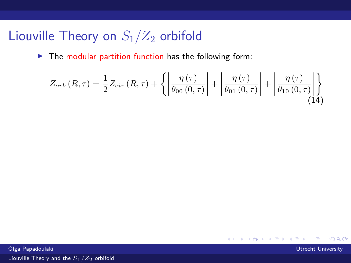# Liouville Theory on *S*1*/Z*<sup>2</sup> orbifold

 $\blacktriangleright$  The modular partition function has the following form:

$$
Z_{orb}(R,\tau) = \frac{1}{2} Z_{cir}(R,\tau) + \left\{ \left| \frac{\eta(\tau)}{\theta_{00}(0,\tau)} \right| + \left| \frac{\eta(\tau)}{\theta_{01}(0,\tau)} \right| + \left| \frac{\eta(\tau)}{\theta_{10}(0,\tau)} \right| \right\}
$$
(14)

Olga Papadoulaki Utrecht University

 $299$ 

**K ロ ▶ K 御 ▶ K 君 ▶ K 君**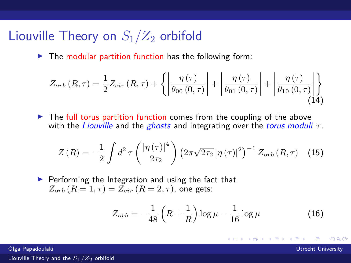#### Liouville Theory on  $S_1/Z_2$  orbifold

 $\blacktriangleright$  The modular partition function has the following form:

$$
Z_{orb}(R,\tau) = \frac{1}{2} Z_{cir}(R,\tau) + \left\{ \left| \frac{\eta(\tau)}{\theta_{00}(0,\tau)} \right| + \left| \frac{\eta(\tau)}{\theta_{01}(0,\tau)} \right| + \left| \frac{\eta(\tau)}{\theta_{10}(0,\tau)} \right| \right\}
$$
(14)

 $\triangleright$  The full torus partition function comes from the coupling of the above with the Liouville and the ghosts and integrating over the torus moduli *τ* .

$$
Z(R) = -\frac{1}{2} \int d^2 \tau \left( \frac{|\eta(\tau)|^4}{2\tau_2} \right) \left( 2\pi \sqrt{2\tau_2} \, |\eta(\tau)|^2 \right)^{-1} Z_{orb}(R, \tau) \tag{15}
$$

 $\blacktriangleright$  Performing the Integration and using the fact that  $Z_{\text{orb}}(R=1,\tau) = \bar{Z}_{\text{cir}}(R=2,\tau)$ , one gets:

$$
Z_{orb} = -\frac{1}{48} \left( R + \frac{1}{R} \right) \log \mu - \frac{1}{16} \log \mu \tag{16}
$$

メロト メタト メミトメ

 $\Omega$ 

Olga Papadoulaki Utrecht University